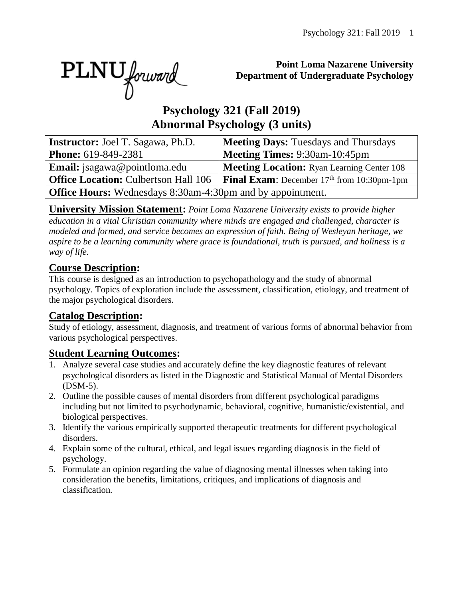PLNU forward

#### **Point Loma Nazarene University Department of Undergraduate Psychology**

# **Psychology 321 (Fall 2019) Abnormal Psychology (3 units)**

| <b>Instructor:</b> Joel T. Sagawa, Ph.D.                          | <b>Meeting Days: Tuesdays and Thursdays</b>            |  |  |  |  |  |  |
|-------------------------------------------------------------------|--------------------------------------------------------|--|--|--|--|--|--|
| <b>Phone:</b> 619-849-2381                                        | <b>Meeting Times: 9:30am-10:45pm</b>                   |  |  |  |  |  |  |
| <b>Email:</b> jsagawa@pointloma.edu                               | <b>Meeting Location:</b> Ryan Learning Center 108      |  |  |  |  |  |  |
| <b>Office Location: Culbertson Hall 106</b>                       | <b>Final Exam:</b> December $17th$ from $10:30$ pm-1pm |  |  |  |  |  |  |
| <b>Office Hours:</b> Wednesdays 8:30am-4:30pm and by appointment. |                                                        |  |  |  |  |  |  |

**University Mission Statement:** *Point Loma Nazarene University exists to provide higher education in a vital Christian community where minds are engaged and challenged, character is modeled and formed, and service becomes an expression of faith. Being of Wesleyan heritage, we aspire to be a learning community where grace is foundational, truth is pursued, and holiness is a way of life.*

### **Course Description:**

This course is designed as an introduction to psychopathology and the study of abnormal psychology. Topics of exploration include the assessment, classification, etiology, and treatment of the major psychological disorders.

### **Catalog Description:**

Study of etiology, assessment, diagnosis, and treatment of various forms of abnormal behavior from various psychological perspectives.

### **Student Learning Outcomes:**

- 1. Analyze several case studies and accurately define the key diagnostic features of relevant psychological disorders as listed in the Diagnostic and Statistical Manual of Mental Disorders (DSM-5).
- 2. Outline the possible causes of mental disorders from different psychological paradigms including but not limited to psychodynamic, behavioral, cognitive, humanistic/existential, and biological perspectives.
- 3. Identify the various empirically supported therapeutic treatments for different psychological disorders.
- 4. Explain some of the cultural, ethical, and legal issues regarding diagnosis in the field of psychology.
- 5. Formulate an opinion regarding the value of diagnosing mental illnesses when taking into consideration the benefits, limitations, critiques, and implications of diagnosis and classification.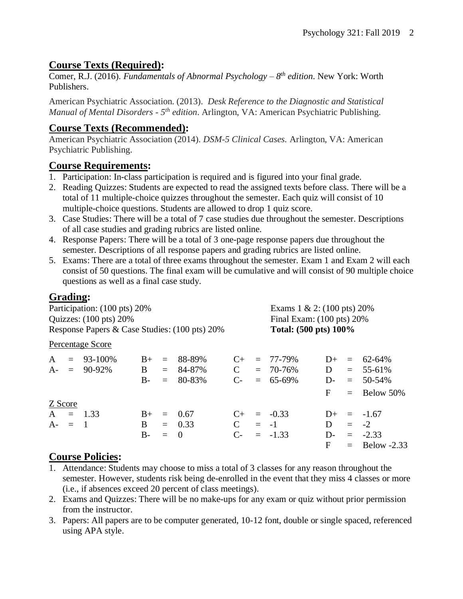## **Course Texts (Required):**

Comer, R.J. (2016). *Fundamentals of Abnormal Psychology – 8 th edition*. New York: Worth Publishers.

American Psychiatric Association. (2013). *Desk Reference to the Diagnostic and Statistical Manual of Mental Disorders - 5<sup>th</sup> edition.* Arlington, VA: American Psychiatric Publishing.

# **Course Texts (Recommended):**

American Psychiatric Association (2014). *DSM-5 Clinical Cases.* Arlington, VA: American Psychiatric Publishing.

### **Course Requirements:**

- 1. Participation: In-class participation is required and is figured into your final grade.
- 2. Reading Quizzes: Students are expected to read the assigned texts before class. There will be a total of 11 multiple-choice quizzes throughout the semester. Each quiz will consist of 10 multiple-choice questions. Students are allowed to drop 1 quiz score.
- 3. Case Studies: There will be a total of 7 case studies due throughout the semester. Descriptions of all case studies and grading rubrics are listed online.
- 4. Response Papers: There will be a total of 3 one-page response papers due throughout the semester. Descriptions of all response papers and grading rubrics are listed online.
- 5. Exams: There are a total of three exams throughout the semester. Exam 1 and Exam 2 will each consist of 50 questions. The final exam will be cumulative and will consist of 90 multiple choice questions as well as a final case study.

# **Grading:**

| Participation: (100 pts) 20%<br>Quizzes: $(100 \text{ pts}) 20\%$<br>Response Papers & Case Studies: (100 pts) 20% |  |                  |      |     |                |               | Exams $1 \& 2$ : (100 pts) 20%<br>Final Exam: $(100 \text{ pts}) 20\%$ |                       |       |     |                 |
|--------------------------------------------------------------------------------------------------------------------|--|------------------|------|-----|----------------|---------------|------------------------------------------------------------------------|-----------------------|-------|-----|-----------------|
|                                                                                                                    |  |                  |      |     |                |               |                                                                        | Total: (500 pts) 100% |       |     |                 |
|                                                                                                                    |  | Percentage Score |      |     |                |               |                                                                        |                       |       |     |                 |
| $\mathbf{A}$                                                                                                       |  | $= 93 - 100\%$   | $B+$ | $=$ | 88-89%         | $C_{\pm}$     |                                                                        | $= 77 - 79\%$         | $D+$  |     | $= 62 - 64\%$   |
|                                                                                                                    |  | $A = 90-92\%$    | B    | $=$ | 84-87%         | $\mathbf C$   |                                                                        | $= 70 - 76\%$         | D     |     | $= 55-61\%$     |
|                                                                                                                    |  |                  | $B-$ | $=$ | 80-83%         | $C$ -         |                                                                        | $= 65-69\%$           | $D-$  |     | $= 50-54\%$     |
|                                                                                                                    |  |                  |      |     |                |               |                                                                        |                       | F     |     | $=$ Below 50%   |
| Z Score                                                                                                            |  |                  |      |     |                |               |                                                                        |                       |       |     |                 |
|                                                                                                                    |  | $A = 1.33$       | $B+$ | $=$ | 0.67           | $C_{\pm}$     |                                                                        | $= -0.33$             | $D+$  |     | $=$ -1.67       |
| $A - = 1$                                                                                                          |  |                  | B.   |     | $= 0.33$       | $\mathcal{C}$ |                                                                        | $= -1$                | D     | $=$ | $-2$            |
|                                                                                                                    |  |                  | $B-$ | $=$ | $\overline{0}$ | $C$ -         |                                                                        | $= -1.33$             | $D$ - |     | $= -2.33$       |
|                                                                                                                    |  |                  |      |     |                |               |                                                                        |                       | F     |     | $=$ Below -2.33 |

# **Course Policies:**

- 1. Attendance: Students may choose to miss a total of 3 classes for any reason throughout the semester. However, students risk being de-enrolled in the event that they miss 4 classes or more (i.e., if absences exceed 20 percent of class meetings).
- 2. Exams and Quizzes: There will be no make-ups for any exam or quiz without prior permission from the instructor.
- 3. Papers: All papers are to be computer generated, 10-12 font, double or single spaced, referenced using APA style.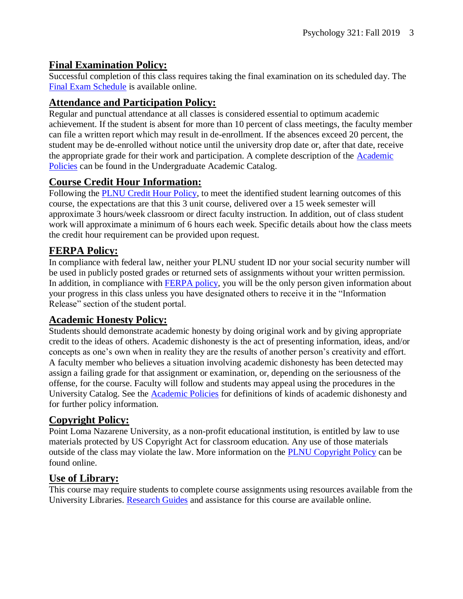#### **Final Examination Policy:**

Successful completion of this class requires taking the final examination on its scheduled day. The [Final Exam Schedule](http://www.pointloma.edu/experience/academics/class-schedules) is available online.

### **Attendance and Participation Policy:**

Regular and punctual attendance at all classes is considered essential to optimum academic achievement. If the student is absent for more than 10 percent of class meetings, the faculty member can file a written report which may result in de-enrollment. If the absences exceed 20 percent, the student may be de-enrolled without notice until the university drop date or, after that date, receive the appropriate grade for their work and participation. A complete description of the [Academic](https://catalog.pointloma.edu/content.php?catoid=18&navoid=1278#Class_Attendance)  [Policies](https://catalog.pointloma.edu/content.php?catoid=18&navoid=1278#Class_Attendance) can be found in the Undergraduate Academic Catalog.

### **Course Credit Hour Information:**

Following the [PLNU Credit Hour Policy,](http://catalog.pointloma.edu/content.php?catoid=18&navoid=1278#Credit_Hour_Definition) to meet the identified student learning outcomes of this course, the expectations are that this 3 unit course, delivered over a 15 week semester will approximate 3 hours/week classroom or direct faculty instruction. In addition, out of class student work will approximate a minimum of 6 hours each week. Specific details about how the class meets the credit hour requirement can be provided upon request.

### **FERPA Policy:**

In compliance with federal law, neither your PLNU student ID nor your social security number will be used in publicly posted grades or returned sets of assignments without your written permission. In addition, in compliance with [FERPA policy,](http://catalog.pointloma.edu/content.php?catoid=18&navoid=1278#Education_Records__FERPA__and_Directory_Information) you will be the only person given information about your progress in this class unless you have designated others to receive it in the "Information Release" section of the student portal.

### **Academic Honesty Policy:**

Students should demonstrate academic honesty by doing original work and by giving appropriate credit to the ideas of others. Academic dishonesty is the act of presenting information, ideas, and/or concepts as one's own when in reality they are the results of another person's creativity and effort. A faculty member who believes a situation involving academic dishonesty has been detected may assign a failing grade for that assignment or examination, or, depending on the seriousness of the offense, for the course. Faculty will follow and students may appeal using the procedures in the University Catalog. See the **Academic Policies** for definitions of kinds of academic dishonesty and for further policy information.

### **Copyright Policy:**

Point Loma Nazarene University, as a non-profit educational institution, is entitled by law to use materials protected by US Copyright Act for classroom education. Any use of those materials outside of the class may violate the law. More information on the [PLNU Copyright Policy](http://libguides.pointloma.edu/content.php?pid=203591&sid=1700398) can be found online.

### **Use of Library:**

This course may require students to complete course assignments using resources available from the University Libraries. [Research Guides](http://libguides.pointloma.edu/ResearchGuides) and assistance for this course are available online.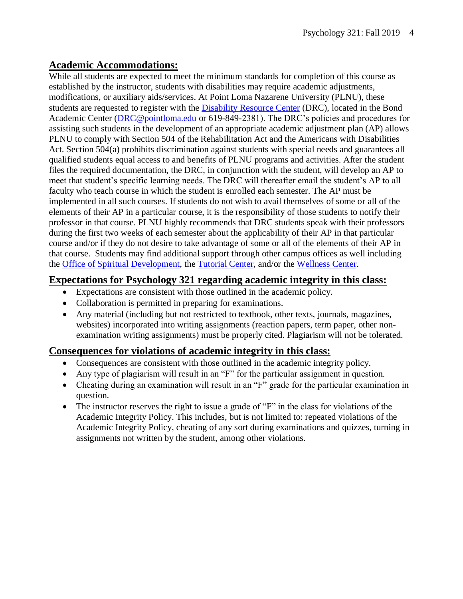#### **Academic Accommodations:**

While all students are expected to meet the minimum standards for completion of this course as established by the instructor, students with disabilities may require academic adjustments, modifications, or auxiliary aids/services. At Point Loma Nazarene University (PLNU), these students are requested to register with the [Disability Resource Center](http://www.pointloma.edu/experience/offices/administrative-offices/academic-advising-office/disability-resource-center) (DRC), located in the Bond Academic Center [\(DRC@pointloma.edu](mailto:DRC@pointloma.edu) or 619-849-2381). The DRC's policies and procedures for assisting such students in the development of an appropriate academic adjustment plan (AP) allows PLNU to comply with Section 504 of the Rehabilitation Act and the Americans with Disabilities Act. Section 504(a) prohibits discrimination against students with special needs and guarantees all qualified students equal access to and benefits of PLNU programs and activities. After the student files the required documentation, the DRC, in conjunction with the student, will develop an AP to meet that student's specific learning needs. The DRC will thereafter email the student's AP to all faculty who teach course in which the student is enrolled each semester. The AP must be implemented in all such courses. If students do not wish to avail themselves of some or all of the elements of their AP in a particular course, it is the responsibility of those students to notify their professor in that course. PLNU highly recommends that DRC students speak with their professors during the first two weeks of each semester about the applicability of their AP in that particular course and/or if they do not desire to take advantage of some or all of the elements of their AP in that course. Students may find additional support through other campus offices as well including the [Office of Spiritual Development,](https://www.pointloma.edu/offices/spiritual-development) the [Tutorial Center,](https://www.pointloma.edu/offices/tutorial-services) and/or the [Wellness Center.](https://www.pointloma.edu/offices/wellness-center)

#### **Expectations for Psychology 321 regarding academic integrity in this class:**

- Expectations are consistent with those outlined in the academic policy.
- Collaboration is permitted in preparing for examinations.
- Any material (including but not restricted to textbook, other texts, journals, magazines, websites) incorporated into writing assignments (reaction papers, term paper, other nonexamination writing assignments) must be properly cited. Plagiarism will not be tolerated.

#### **Consequences for violations of academic integrity in this class:**

- Consequences are consistent with those outlined in the academic integrity policy.
- Any type of plagiarism will result in an "F" for the particular assignment in question.
- Cheating during an examination will result in an "F" grade for the particular examination in question.
- The instructor reserves the right to issue a grade of "F" in the class for violations of the Academic Integrity Policy. This includes, but is not limited to: repeated violations of the Academic Integrity Policy, cheating of any sort during examinations and quizzes, turning in assignments not written by the student, among other violations.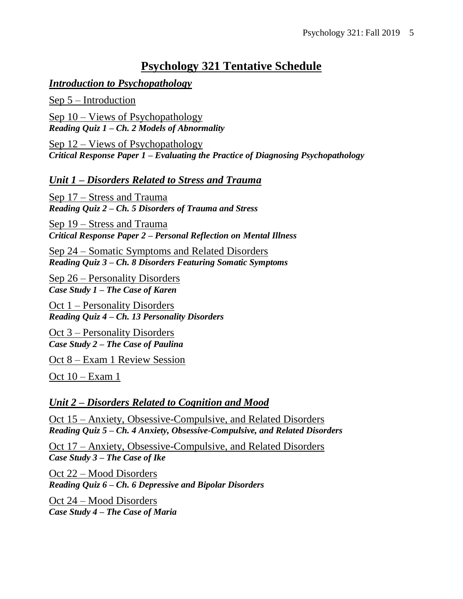# **Psychology 321 Tentative Schedule**

#### *Introduction to Psychopathology*

Sep 5 – Introduction

Sep 10 – Views of Psychopathology *Reading Quiz 1 – Ch. 2 Models of Abnormality*

Sep 12 – Views of Psychopathology *Critical Response Paper 1 – Evaluating the Practice of Diagnosing Psychopathology*

#### *Unit 1 – Disorders Related to Stress and Trauma*

Sep 17 – Stress and Trauma *Reading Quiz 2 – Ch. 5 Disorders of Trauma and Stress*

Sep 19 – Stress and Trauma *Critical Response Paper 2 – Personal Reflection on Mental Illness*

Sep 24 – Somatic Symptoms and Related Disorders *Reading Quiz 3 – Ch. 8 Disorders Featuring Somatic Symptoms*

Sep 26 – Personality Disorders *Case Study 1 – The Case of Karen*

Oct 1 – Personality Disorders *Reading Quiz 4 – Ch. 13 Personality Disorders*

Oct 3 – Personality Disorders *Case Study 2 – The Case of Paulina*

Oct 8 – Exam 1 Review Session

Oct 10 – Exam 1

#### *Unit 2 – Disorders Related to Cognition and Mood*

Oct 15 – Anxiety, Obsessive-Compulsive, and Related Disorders *Reading Quiz 5 – Ch. 4 Anxiety, Obsessive-Compulsive, and Related Disorders*

Oct 17 – Anxiety, Obsessive-Compulsive, and Related Disorders *Case Study 3 – The Case of Ike*

Oct 22 – Mood Disorders *Reading Quiz 6 – Ch. 6 Depressive and Bipolar Disorders*

Oct 24 – Mood Disorders *Case Study 4 – The Case of Maria*